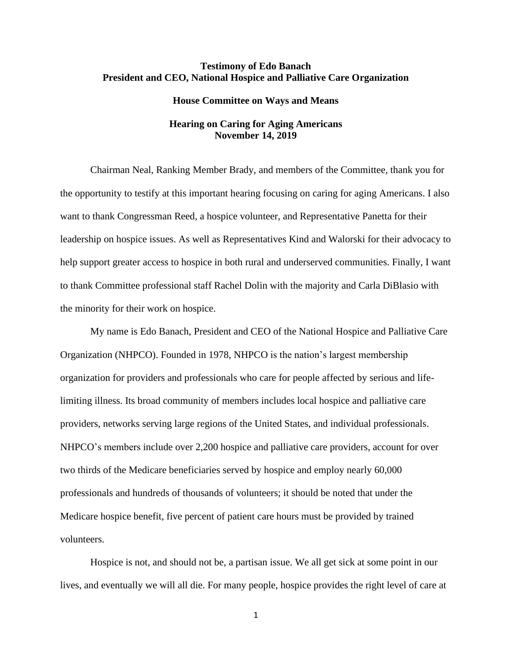# **Testimony of Edo Banach President and CEO, National Hospice and Palliative Care Organization**

### **House Committee on Ways and Means**

# **Hearing on Caring for Aging Americans November 14, 2019**

Chairman Neal, Ranking Member Brady, and members of the Committee, thank you for the opportunity to testify at this important hearing focusing on caring for aging Americans. I also want to thank Congressman Reed, a hospice volunteer, and Representative Panetta for their leadership on hospice issues. As well as Representatives Kind and Walorski for their advocacy to help support greater access to hospice in both rural and underserved communities. Finally, I want to thank Committee professional staff Rachel Dolin with the majority and Carla DiBlasio with the minority for their work on hospice.

My name is Edo Banach, President and CEO of the National Hospice and Palliative Care Organization (NHPCO). Founded in 1978, NHPCO is the nation's largest membership organization for providers and professionals who care for people affected by serious and lifelimiting illness. Its broad community of members includes local hospice and palliative care providers, networks serving large regions of the United States, and individual professionals. NHPCO's members include over 2,200 hospice and palliative care providers, account for over two thirds of the Medicare beneficiaries served by hospice and employ nearly 60,000 professionals and hundreds of thousands of volunteers; it should be noted that under the Medicare hospice benefit, five percent of patient care hours must be provided by trained volunteers.

Hospice is not, and should not be, a partisan issue. We all get sick at some point in our lives, and eventually we will all die. For many people, hospice provides the right level of care at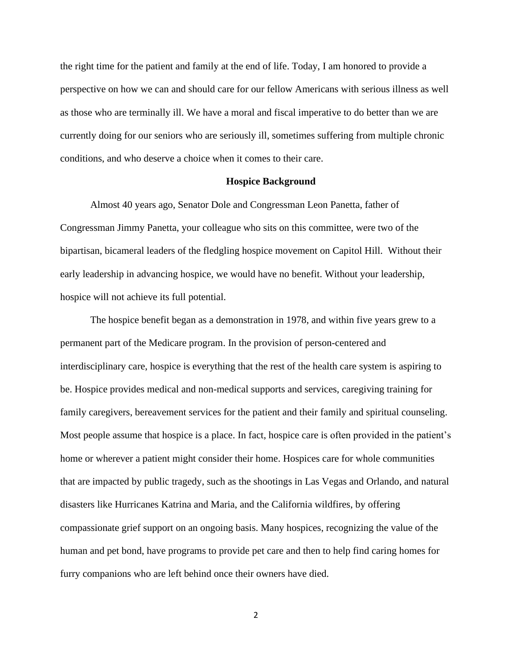the right time for the patient and family at the end of life. Today, I am honored to provide a perspective on how we can and should care for our fellow Americans with serious illness as well as those who are terminally ill. We have a moral and fiscal imperative to do better than we are currently doing for our seniors who are seriously ill, sometimes suffering from multiple chronic conditions, and who deserve a choice when it comes to their care.

## **Hospice Background**

Almost 40 years ago, Senator Dole and Congressman Leon Panetta, father of Congressman Jimmy Panetta, your colleague who sits on this committee, were two of the bipartisan, bicameral leaders of the fledgling hospice movement on Capitol Hill. Without their early leadership in advancing hospice, we would have no benefit. Without your leadership, hospice will not achieve its full potential.

The hospice benefit began as a demonstration in 1978, and within five years grew to a permanent part of the Medicare program. In the provision of person-centered and interdisciplinary care, hospice is everything that the rest of the health care system is aspiring to be. Hospice provides medical and non-medical supports and services, caregiving training for family caregivers, bereavement services for the patient and their family and spiritual counseling. Most people assume that hospice is a place. In fact, hospice care is often provided in the patient's home or wherever a patient might consider their home. Hospices care for whole communities that are impacted by public tragedy, such as the shootings in Las Vegas and Orlando, and natural disasters like Hurricanes Katrina and Maria, and the California wildfires, by offering compassionate grief support on an ongoing basis. Many hospices, recognizing the value of the human and pet bond, have programs to provide pet care and then to help find caring homes for furry companions who are left behind once their owners have died.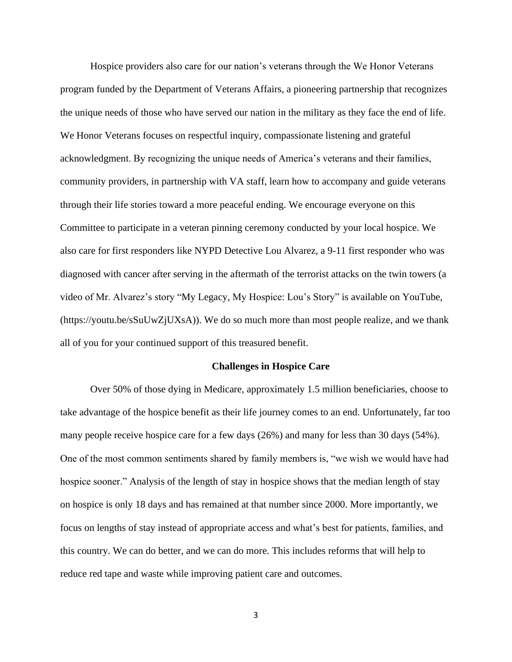Hospice providers also care for our nation's veterans through the We Honor Veterans program funded by the Department of Veterans Affairs, a pioneering partnership that recognizes the unique needs of those who have served our nation in the military as they face the end of life. We Honor [Veterans](http://www.wehonorveterans.org/) focuses on respectful inquiry, compassionate listening and grateful acknowledgment. By recognizing the unique needs of America's veterans and their families, community providers, in partnership with VA staff, learn how to accompany and guide veterans through their life stories toward a more peaceful ending. We encourage everyone on this Committee to participate in a veteran pinning ceremony conducted by your local hospice. We also care for first responders like NYPD Detective Lou Alvarez, a 9-11 first responder who was diagnosed with cancer after serving in the aftermath of the terrorist attacks on the twin towers (a video of Mr. Alvarez's story "My Legacy, My Hospice: Lou's Story" is available on YouTube, [\(https://youtu.be/sSuUwZjUXsA\)](https://youtu.be/sSuUwZjUXsA)). We do so much more than most people realize, and we thank all of you for your continued support of this treasured benefit.

#### **Challenges in Hospice Care**

Over 50% of those dying in Medicare, approximately 1.5 million beneficiaries, choose to take advantage of the hospice benefit as their life journey comes to an end. Unfortunately, far too many people receive hospice care for a few days (26%) and many for less than 30 days (54%). One of the most common sentiments shared by family members is, "we wish we would have had hospice sooner." Analysis of the length of stay in hospice shows that the median length of stay on hospice is only 18 days and has remained at that number since 2000. More importantly, we focus on lengths of stay instead of appropriate access and what's best for patients, families, and this country. We can do better, and we can do more. This includes reforms that will help to reduce red tape and waste while improving patient care and outcomes.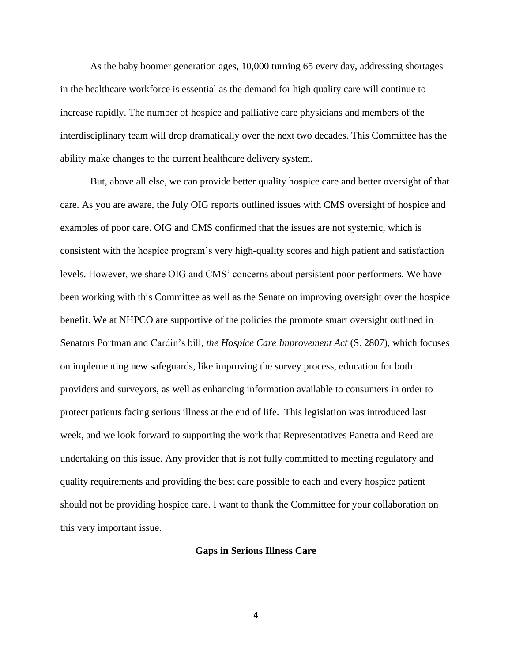As the baby boomer generation ages, 10,000 turning 65 every day, addressing shortages in the healthcare workforce is essential as the demand for high quality care will continue to increase rapidly. The number of hospice and palliative care physicians and members of the interdisciplinary team will drop dramatically over the next two decades. This Committee has the ability make changes to the current healthcare delivery system.

But, above all else, we can provide better quality hospice care and better oversight of that care. As you are aware, the July OIG reports outlined issues with CMS oversight of hospice and examples of poor care. OIG and CMS confirmed that the issues are not systemic, which is consistent with the hospice program's very high-quality scores and high patient and satisfaction levels. However, we share OIG and CMS' concerns about persistent poor performers. We have been working with this Committee as well as the Senate on improving oversight over the hospice benefit. We at NHPCO are supportive of the policies the promote smart oversight outlined in Senators Portman and Cardin's bill, *the Hospice Care Improvement Act* (S. 2807), which focuses on implementing new safeguards, like improving the survey process, education for both providers and surveyors, as well as enhancing information available to consumers in order to protect patients facing serious illness at the end of life. This legislation was introduced last week, and we look forward to supporting the work that Representatives Panetta and Reed are undertaking on this issue. Any provider that is not fully committed to meeting regulatory and quality requirements and providing the best care possible to each and every hospice patient should not be providing hospice care. I want to thank the Committee for your collaboration on this very important issue.

### **Gaps in Serious Illness Care**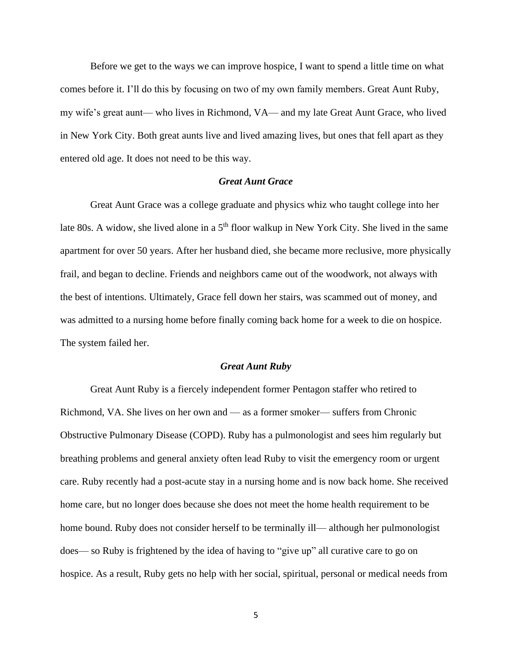Before we get to the ways we can improve hospice, I want to spend a little time on what comes before it. I'll do this by focusing on two of my own family members. Great Aunt Ruby, my wife's great aunt— who lives in Richmond, VA— and my late Great Aunt Grace, who lived in New York City. Both great aunts live and lived amazing lives, but ones that fell apart as they entered old age. It does not need to be this way.

### *Great Aunt Grace*

Great Aunt Grace was a college graduate and physics whiz who taught college into her late 80s. A widow, she lived alone in a 5<sup>th</sup> floor walkup in New York City. She lived in the same apartment for over 50 years. After her husband died, she became more reclusive, more physically frail, and began to decline. Friends and neighbors came out of the woodwork, not always with the best of intentions. Ultimately, Grace fell down her stairs, was scammed out of money, and was admitted to a nursing home before finally coming back home for a week to die on hospice. The system failed her.

#### *Great Aunt Ruby*

Great Aunt Ruby is a fiercely independent former Pentagon staffer who retired to Richmond, VA. She lives on her own and — as a former smoker— suffers from Chronic Obstructive Pulmonary Disease (COPD). Ruby has a pulmonologist and sees him regularly but breathing problems and general anxiety often lead Ruby to visit the emergency room or urgent care. Ruby recently had a post-acute stay in a nursing home and is now back home. She received home care, but no longer does because she does not meet the home health requirement to be home bound. Ruby does not consider herself to be terminally ill— although her pulmonologist does— so Ruby is frightened by the idea of having to "give up" all curative care to go on hospice. As a result, Ruby gets no help with her social, spiritual, personal or medical needs from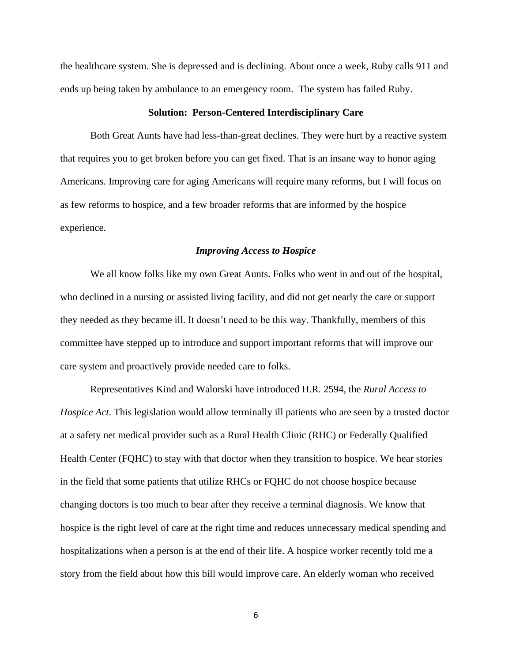the healthcare system. She is depressed and is declining. About once a week, Ruby calls 911 and ends up being taken by ambulance to an emergency room. The system has failed Ruby.

#### **Solution: Person-Centered Interdisciplinary Care**

Both Great Aunts have had less-than-great declines. They were hurt by a reactive system that requires you to get broken before you can get fixed. That is an insane way to honor aging Americans. Improving care for aging Americans will require many reforms, but I will focus on as few reforms to hospice, and a few broader reforms that are informed by the hospice experience.

### *Improving Access to Hospice*

We all know folks like my own Great Aunts. Folks who went in and out of the hospital, who declined in a nursing or assisted living facility, and did not get nearly the care or support they needed as they became ill. It doesn't need to be this way. Thankfully, members of this committee have stepped up to introduce and support important reforms that will improve our care system and proactively provide needed care to folks.

Representatives Kind and Walorski have introduced H.R. 2594*,* the *Rural Access to Hospice Act*. This legislation would allow terminally ill patients who are seen by a trusted doctor at a safety net medical provider such as a Rural Health Clinic (RHC) or Federally Qualified Health Center (FQHC) to stay with that doctor when they transition to hospice. We hear stories in the field that some patients that utilize RHCs or FQHC do not choose hospice because changing doctors is too much to bear after they receive a terminal diagnosis. We know that hospice is the right level of care at the right time and reduces unnecessary medical spending and hospitalizations when a person is at the end of their life. A hospice worker recently told me a story from the field about how this bill would improve care. An elderly woman who received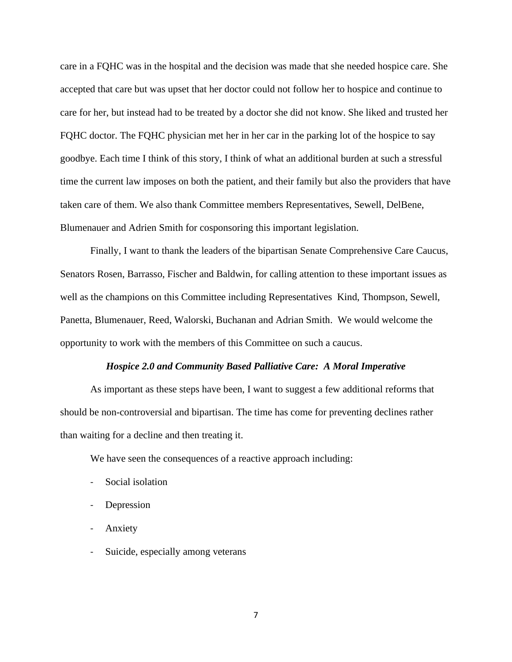care in a FQHC was in the hospital and the decision was made that she needed hospice care. She accepted that care but was upset that her doctor could not follow her to hospice and continue to care for her, but instead had to be treated by a doctor she did not know. She liked and trusted her FQHC doctor. The FQHC physician met her in her car in the parking lot of the hospice to say goodbye. Each time I think of this story, I think of what an additional burden at such a stressful time the current law imposes on both the patient, and their family but also the providers that have taken care of them. We also thank Committee members Representatives, Sewell, DelBene, Blumenauer and Adrien Smith for cosponsoring this important legislation.

Finally, I want to thank the leaders of the bipartisan Senate Comprehensive Care Caucus, Senators Rosen, Barrasso, Fischer and Baldwin, for calling attention to these important issues as well as the champions on this Committee including Representatives Kind, Thompson, Sewell, Panetta, Blumenauer, Reed, Walorski, Buchanan and Adrian Smith. We would welcome the opportunity to work with the members of this Committee on such a caucus.

#### *Hospice 2.0 and Community Based Palliative Care: A Moral Imperative*

As important as these steps have been, I want to suggest a few additional reforms that should be non-controversial and bipartisan. The time has come for preventing declines rather than waiting for a decline and then treating it.

We have seen the consequences of a reactive approach including:

- Social isolation
- Depression
- Anxiety
- Suicide, especially among veterans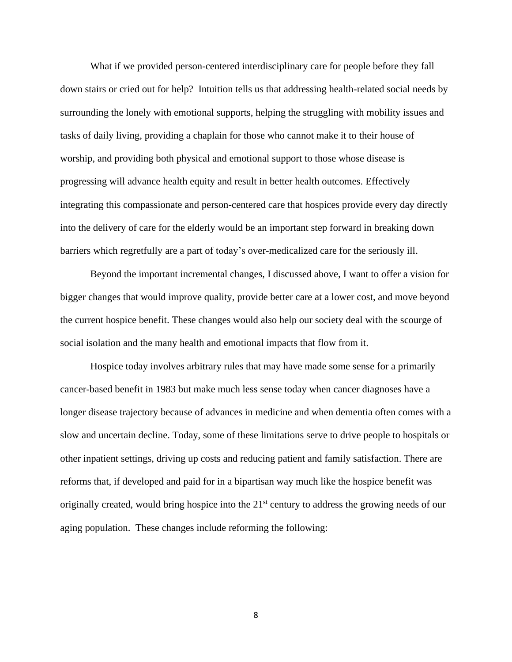What if we provided person-centered interdisciplinary care for people before they fall down stairs or cried out for help? Intuition tells us that addressing health-related social needs by surrounding the lonely with emotional supports, helping the struggling with mobility issues and tasks of daily living, providing a chaplain for those who cannot make it to their house of worship, and providing both physical and emotional support to those whose disease is progressing will advance health equity and result in better health outcomes. Effectively integrating this compassionate and person-centered care that hospices provide every day directly into the delivery of care for the elderly would be an important step forward in breaking down barriers which regretfully are a part of today's over-medicalized care for the seriously ill.

Beyond the important incremental changes, I discussed above, I want to offer a vision for bigger changes that would improve quality, provide better care at a lower cost, and move beyond the current hospice benefit. These changes would also help our society deal with the scourge of social isolation and the many health and emotional impacts that flow from it.

Hospice today involves arbitrary rules that may have made some sense for a primarily cancer-based benefit in 1983 but make much less sense today when cancer diagnoses have a longer disease trajectory because of advances in medicine and when dementia often comes with a slow and uncertain decline. Today, some of these limitations serve to drive people to hospitals or other inpatient settings, driving up costs and reducing patient and family satisfaction. There are reforms that, if developed and paid for in a bipartisan way much like the hospice benefit was originally created, would bring hospice into the 21<sup>st</sup> century to address the growing needs of our aging population. These changes include reforming the following: